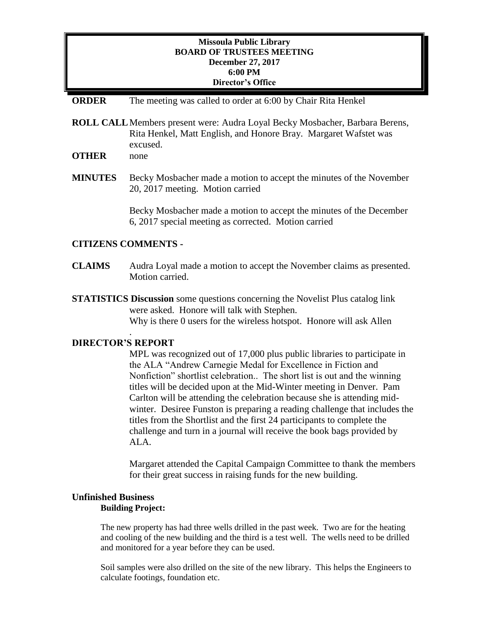# **Missoula Public Library BOARD OF TRUSTEES MEETING December 27, 2017 6:00 PM Director's Office**

## **ORDER** The meeting was called to order at 6:00 by Chair Rita Henkel

**ROLL CALL**Members present were: Audra Loyal Becky Mosbacher, Barbara Berens, Rita Henkel, Matt English, and Honore Bray. Margaret Wafstet was excused.

**OTHER** none

**MINUTES** Becky Mosbacher made a motion to accept the minutes of the November 20, 2017 meeting. Motion carried

> Becky Mosbacher made a motion to accept the minutes of the December 6, 2017 special meeting as corrected. Motion carried

## **CITIZENS COMMENTS -**

- **CLAIMS** Audra Loyal made a motion to accept the November claims as presented. Motion carried.
- **STATISTICS Discussion** some questions concerning the Novelist Plus catalog link were asked. Honore will talk with Stephen. Why is there 0 users for the wireless hotspot. Honore will ask Allen

# **DIRECTOR'S REPORT**

.

MPL was recognized out of 17,000 plus public libraries to participate in the ALA "Andrew Carnegie Medal for Excellence in Fiction and Nonfiction" shortlist celebration.. The short list is out and the winning titles will be decided upon at the Mid-Winter meeting in Denver. Pam Carlton will be attending the celebration because she is attending midwinter. Desiree Funston is preparing a reading challenge that includes the titles from the Shortlist and the first 24 participants to complete the challenge and turn in a journal will receive the book bags provided by ALA.

Margaret attended the Capital Campaign Committee to thank the members for their great success in raising funds for the new building.

#### **Unfinished Business Building Project:**

The new property has had three wells drilled in the past week. Two are for the heating and cooling of the new building and the third is a test well. The wells need to be drilled and monitored for a year before they can be used.

Soil samples were also drilled on the site of the new library. This helps the Engineers to calculate footings, foundation etc.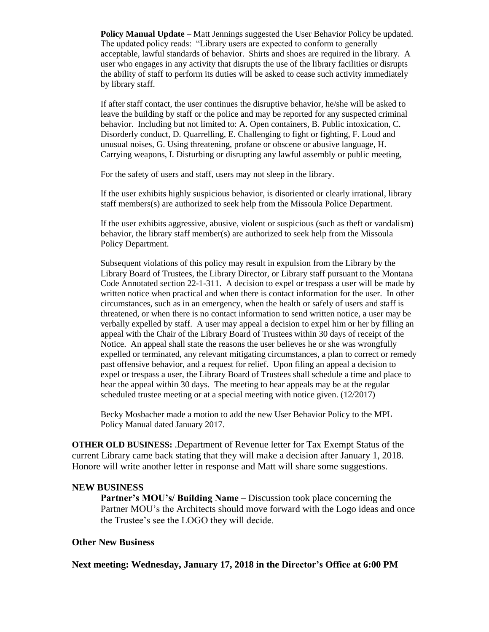**Policy Manual Update –** Matt Jennings suggested the User Behavior Policy be updated. The updated policy reads: "Library users are expected to conform to generally acceptable, lawful standards of behavior. Shirts and shoes are required in the library. A user who engages in any activity that disrupts the use of the library facilities or disrupts the ability of staff to perform its duties will be asked to cease such activity immediately by library staff.

If after staff contact, the user continues the disruptive behavior, he/she will be asked to leave the building by staff or the police and may be reported for any suspected criminal behavior. Including but not limited to: A. Open containers, B. Public intoxication, C. Disorderly conduct, D. Quarrelling, E. Challenging to fight or fighting, F. Loud and unusual noises, G. Using threatening, profane or obscene or abusive language, H. Carrying weapons, I. Disturbing or disrupting any lawful assembly or public meeting,

For the safety of users and staff, users may not sleep in the library.

If the user exhibits highly suspicious behavior, is disoriented or clearly irrational, library staff members(s) are authorized to seek help from the Missoula Police Department.

If the user exhibits aggressive, abusive, violent or suspicious (such as theft or vandalism) behavior, the library staff member(s) are authorized to seek help from the Missoula Policy Department.

Subsequent violations of this policy may result in expulsion from the Library by the Library Board of Trustees, the Library Director, or Library staff pursuant to the Montana Code Annotated section 22-1-311. A decision to expel or trespass a user will be made by written notice when practical and when there is contact information for the user. In other circumstances, such as in an emergency, when the health or safely of users and staff is threatened, or when there is no contact information to send written notice, a user may be verbally expelled by staff. A user may appeal a decision to expel him or her by filling an appeal with the Chair of the Library Board of Trustees within 30 days of receipt of the Notice. An appeal shall state the reasons the user believes he or she was wrongfully expelled or terminated, any relevant mitigating circumstances, a plan to correct or remedy past offensive behavior, and a request for relief. Upon filing an appeal a decision to expel or trespass a user, the Library Board of Trustees shall schedule a time and place to hear the appeal within 30 days. The meeting to hear appeals may be at the regular scheduled trustee meeting or at a special meeting with notice given. (12/2017)

Becky Mosbacher made a motion to add the new User Behavior Policy to the MPL Policy Manual dated January 2017.

**OTHER OLD BUSINESS:** .Department of Revenue letter for Tax Exempt Status of the current Library came back stating that they will make a decision after January 1, 2018. Honore will write another letter in response and Matt will share some suggestions.

#### **NEW BUSINESS**

**Partner's MOU's/ Building Name –** Discussion took place concerning the Partner MOU's the Architects should move forward with the Logo ideas and once the Trustee's see the LOGO they will decide.

### **Other New Business**

**Next meeting: Wednesday, January 17, 2018 in the Director's Office at 6:00 PM**